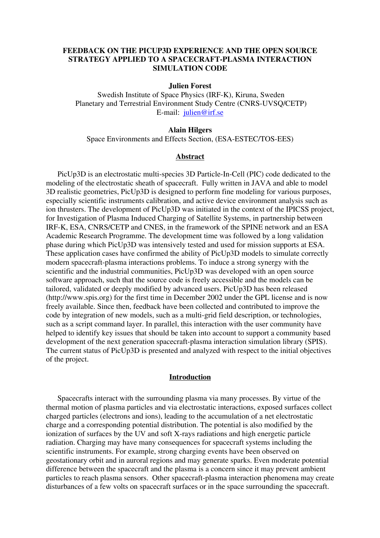# **FEEDBACK ON THE PICUP3D EXPERIENCE AND THE OPEN SOURCE STRATEGY APPLIED TO A SPACECRAFT-PLASMA INTERACTION SIMULATION CODE**

#### **Julien Forest**

Swedish Institute of Space Physics (IRF-K), Kiruna, Sweden Planetary and Terrestrial Environment Study Centre (CNRS-UVSQ/CETP) E-mail: [julien@irf.se](mailto:julien@irf.se)

#### **Alain Hilgers**

Space Environments and Effects Section, (ESA-ESTEC/TOS-EES)

## **Abstract**

PicUp3D is an electrostatic multi-species 3D Particle-In-Cell (PIC) code dedicated to the modeling of the electrostatic sheath of spacecraft. Fully written in JAVA and able to model 3D realistic geometries, PicUp3D is designed to perform fine modeling for various purposes, especially scientific instruments calibration, and active device environment analysis such as ion thrusters. The development of PicUp3D was initiated in the context of the IPICSS project, for Investigation of Plasma Induced Charging of Satellite Systems, in partnership between IRF-K, ESA, CNRS/CETP and CNES, in the framework of the SPINE network and an ESA Academic Research Programme. The development time was followed by a long validation phase during which PicUp3D was intensively tested and used for mission supports at ESA. These application cases have confirmed the ability of PicUp3D models to simulate correctly modern spacecraft-plasma interactions problems. To induce a strong synergy with the scientific and the industrial communities, PicUp3D was developed with an open source software approach, such that the source code is freely accessible and the models can be tailored, validated or deeply modified by advanced users. PicUp3D has been released (http://www.spis.org) for the first time in December 2002 under the GPL license and is now freely available. Since then, feedback have been collected and contributed to improve the code by integration of new models, such as a multi-grid field description, or technologies, such as a script command layer. In parallel, this interaction with the user community have helped to identify key issues that should be taken into account to support a community based development of the next generation spacecraft-plasma interaction simulation library (SPIS). The current status of PicUp3D is presented and analyzed with respect to the initial objectives of the project.

### **Introduction**

Spacecrafts interact with the surrounding plasma via many processes. By virtue of the thermal motion of plasma particles and via electrostatic interactions, exposed surfaces collect charged particles (electrons and ions), leading to the accumulation of a net electrostatic charge and a corresponding potential distribution. The potential is also modified by the ionization of surfaces by the UV and soft X-rays radiations and high energetic particle radiation. Charging may have many consequences for spacecraft systems including the scientific instruments. For example, strong charging events have been observed on geostationary orbit and in auroral regions and may generate sparks. Even moderate potential difference between the spacecraft and the plasma is a concern since it may prevent ambient particles to reach plasma sensors. Other spacecraft-plasma interaction phenomena may create disturbances of a few volts on spacecraft surfaces or in the space surrounding the spacecraft.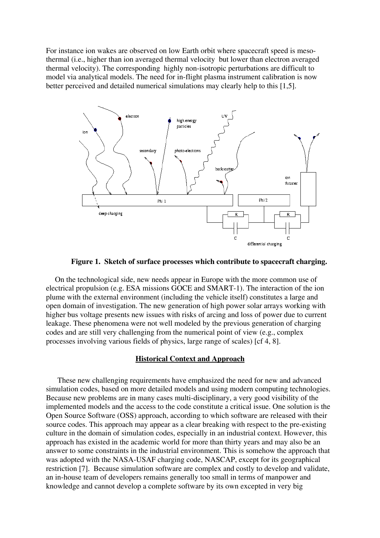For instance ion wakes are observed on low Earth orbit where spacecraft speed is mesothermal (i.e., higher than ion averaged thermal velocity but lower than electron averaged thermal velocity). The corresponding highly non-isotropic perturbations are difficult to model via analytical models. The need for in-flight plasma instrument calibration is now better perceived and detailed numerical simulations may clearly help to this [1,5].



**Figure 1. Sketch of surface processes which contribute to spacecraft charging.** 

On the technological side, new needs appear in Europe with the more common use of electrical propulsion (e.g. ESA missions GOCE and SMART-1). The interaction of the ion plume with the external environment (including the vehicle itself) constitutes a large and open domain of investigation. The new generation of high power solar arrays working with higher bus voltage presents new issues with risks of arcing and loss of power due to current leakage. These phenomena were not well modeled by the previous generation of charging codes and are still very challenging from the numerical point of view (e.g., complex processes involving various fields of physics, large range of scales) [cf 4, 8].

### **Historical Context and Approach**

These new challenging requirements have emphasized the need for new and advanced simulation codes, based on more detailed models and using modern computing technologies. Because new problems are in many cases multi-disciplinary, a very good visibility of the implemented models and the access to the code constitute a critical issue. One solution is the Open Source Software (OSS) approach, according to which software are released with their source codes. This approach may appear as a clear breaking with respect to the pre-existing culture in the domain of simulation codes, especially in an industrial context. However, this approach has existed in the academic world for more than thirty years and may also be an answer to some constraints in the industrial environment. This is somehow the approach that was adopted with the NASA-USAF charging code, NASCAP, except for its geographical restriction [7]. Because simulation software are complex and costly to develop and validate, an in-house team of developers remains generally too small in terms of manpower and knowledge and cannot develop a complete software by its own excepted in very big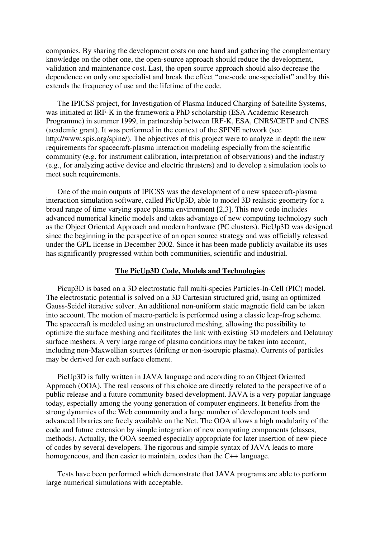companies. By sharing the development costs on one hand and gathering the complementary knowledge on the other one, the open-source approach should reduce the development, validation and maintenance cost. Last, the open source approach should also decrease the dependence on only one specialist and break the effect "one-code one-specialist" and by this extends the frequency of use and the lifetime of the code.

The IPICSS project, for Investigation of Plasma Induced Charging of Satellite Systems, was initiated at IRF-K in the framework a PhD scholarship (ESA Academic Research Programme) in summer 1999, in partnership between IRF-K, ESA, CNRS/CETP and CNES (academic grant). It was performed in the context of the SPINE network (see http://www.spis.org/spine/). The objectives of this project were to analyze in depth the new requirements for spacecraft-plasma interaction modeling especially from the scientific community (e.g. for instrument calibration, interpretation of observations) and the industry (e.g., for analyzing active device and electric thrusters) and to develop a simulation tools to meet such requirements.

One of the main outputs of IPICSS was the development of a new spacecraft-plasma interaction simulation software, called PicUp3D, able to model 3D realistic geometry for a broad range of time varying space plasma environment [2,3]. This new code includes advanced numerical kinetic models and takes advantage of new computing technology such as the Object Oriented Approach and modern hardware (PC clusters). PicUp3D was designed since the beginning in the perspective of an open source strategy and was officially released under the GPL license in December 2002. Since it has been made publicly available its uses has significantly progressed within both communities, scientific and industrial.

# **The PicUp3D Code, Models and Technologies**

Picup3D is based on a 3D electrostatic full multi-species Particles-In-Cell (PIC) model. The electrostatic potential is solved on a 3D Cartesian structured grid, using an optimized Gauss-Seidel iterative solver. An additional non-uniform static magnetic field can be taken into account. The motion of macro-particle is performed using a classic leap-frog scheme. The spacecraft is modeled using an unstructured meshing, allowing the possibility to optimize the surface meshing and facilitates the link with existing 3D modelers and Delaunay surface meshers. A very large range of plasma conditions may be taken into account, including non-Maxwellian sources (drifting or non-isotropic plasma). Currents of particles may be derived for each surface element.

PicUp3D is fully written in JAVA language and according to an Object Oriented Approach (OOA). The real reasons of this choice are directly related to the perspective of a public release and a future community based development. JAVA is a very popular language today, especially among the young generation of computer engineers. It benefits from the strong dynamics of the Web community and a large number of development tools and advanced libraries are freely available on the Net. The OOA allows a high modularity of the code and future extension by simple integration of new computing components (classes, methods). Actually, the OOA seemed especially appropriate for later insertion of new piece of codes by several developers. The rigorous and simple syntax of JAVA leads to more homogeneous, and then easier to maintain, codes than the C++ language.

Tests have been performed which demonstrate that JAVA programs are able to perform large numerical simulations with acceptable.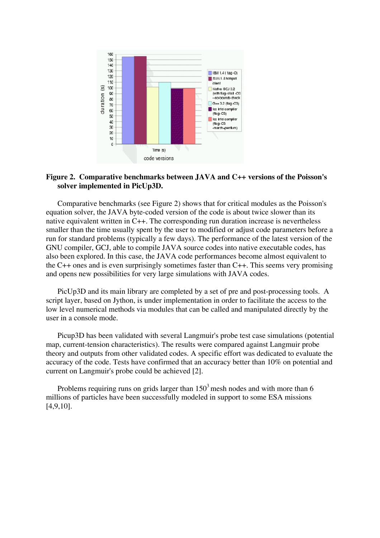

# **Figure 2. Comparative benchmarks between JAVA and C++ versions of the Poisson's solver implemented in PicUp3D.**

Comparative benchmarks (see Figure 2) shows that for critical modules as the Poisson's equation solver, the JAVA byte-coded version of the code is about twice slower than its smaller than the time usually spent by the user to modified or adjust code parameters before a run for standard problems (typically a few days). The performance of the latest version of the GN U compiler, GCJ, able to compile JAVA source codes into native executable codes, has also been explored. In this case, the JAVA code performances become almost equivalent to the C++ ones and is even surprisingly sometimes faster than  $C++$ . This seems very promising native equivalent written in C++. The corresponding run duration increase is nevertheless and opens new possibilities for very large simulations with JAVA codes.

PicUp3D and its main library are completed by a set of pre and post-processing tools. A script layer, based on Jython, is under implementation in order to facilitate the access to the low level numerical methods via modules that can be called and manipulated directly by the user in a console mode.

accuracy of the code. Tests have confirmed that an accuracy better than  $10\%$  on potential and current on Langmuir's probe could be achieved [2]. Picup3D has been validated with several Langmuir's probe test case simulations (potential map, current-tension characteristics). The results were compared against Langmuir probe theory and outputs from other validated codes. A specific effort was dedicated to evaluate the

Problems requiring runs on grids larger than  $150<sup>3</sup>$  mesh nodes and with more than 6 millions of particles have been successfully modeled in support to some ESA missions [4,9,10].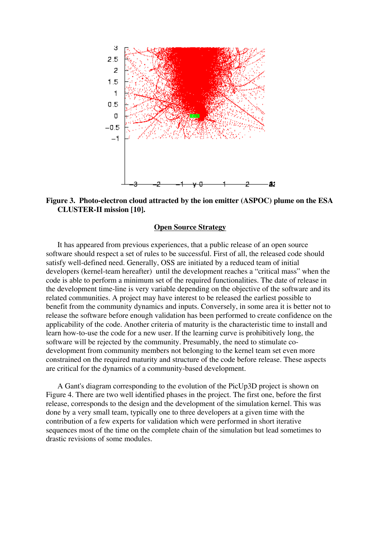

**Figure 3. Photo-electron cloud attracted by the ion emitter (ASPOC) plume on the ESA CLUSTER-II mission [10].** 

### **Open Source Strategy**

It has appeared from previous experiences, that a public release of an open source software should respect a set of rules to be successful. First of all, the released code should satisfy well-defined need. Generally, OSS are initiated by a reduced team of initial developers (kernel-team hereafter) until the development reaches a "critical mass" when the code is able to perform a minimum set of the required functionalities. The date of release in the development time-line is very variable depending on the objective of the software and its related communities. A project may have interest to be released the earliest possible to benefit from the community dynamics and inputs. Conversely, in some area it is better not to release the software before enough validation has been performed to create confidence on the applicability of the code. Another criteria of maturity is the characteristic time to install and learn how-to-use the code for a new user. If the learning curve is prohibitively long, the software will be rejected by the community. Presumably, the need to stimulate codevelopment from community members not belonging to the kernel team set even more constrained on the required maturity and structure of the code before release. These aspects are critical for the dynamics of a community-based development.

A Gant's diagram corresponding to the evolution of the PicUp3D project is shown on Figure 4. There are two well identified phases in the project. The first one, before the first release, corresponds to the design and the development of the simulation kernel. This was done by a very small team, typically one to three developers at a given time with the contribution of a few experts for validation which were performed in short iterative sequences most of the time on the complete chain of the simulation but lead sometimes to drastic revisions of some modules.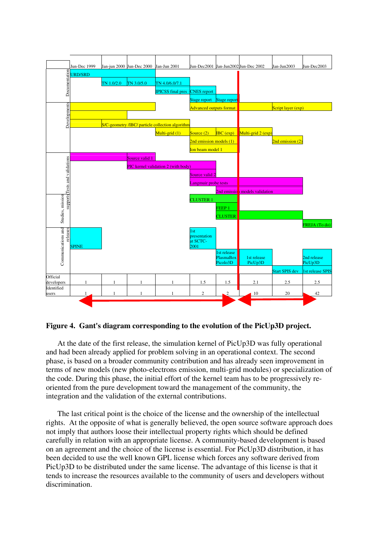

**Figure 4. Gant's diagram corresponding to the evolution of the PicUp3D project.**

At the date of the first release, the simulation kernel of PicUp3D was fully operational and had been already applied for problem solving in an operational context. The second phase, is based on a broader community contribution and has already seen improvement in terms of new models (new photo-electrons emission, multi-grid modules) or specialization of the code. During this phase, the initial effort of the kernel team has to be progressively reoriented from the pure development toward the management of the community, the integration and the validation of the external contributions.

The last critical point is the choice of the license and the ownership of the intellectual rights. At the opposite of what is generally believed, the open source software approach does not imply that authors loose their intellectual property rights which should be defined carefully in relation with an appropriate license. A community-based development is based on an agreement and the choice of the license is essential. For PicUp3D distribution, it has been decided to use the well known GPL license which forces any software derived from PicUp3D to be distributed under the same license. The advantage of this license is that it tends to increase the resources available to the community of users and developers without discrimination.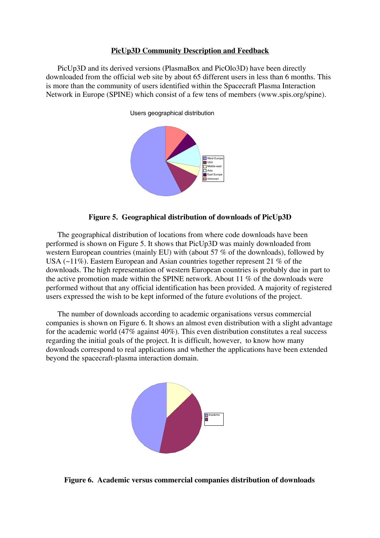### **PicUp3D Community Description and Feedback**

PicUp3D and its derived versions (PlasmaBox and PicOlo3D) have been directly downloaded from the official web site by about 65 different users in less than 6 months. This is more than the community of users identified within the Spacecraft Plasma Interaction Network in Europe (SPINE) which consist of a few tens of members (www.spis.org/spine).





The geographical distribution of locations from where code downloads have been performed is shown on Figure 5. It shows th at PicUp3D was mainly downloaded from western European countries (mainly EU) with (about 57  $%$  of the downloads), followed by USA  $(-11\%)$ . Eastern European and Asian countries together represent 21 % of the downloads. The high representation of western European countries is probably due in part to the active promotion made within the SPINE network. About 11  $%$  of the downloads were performed without that any official identification has been provided. A majority of registered users expressed the wish to be kept informed of the future evolutions of the project.

The number of downloads according to academic organisations versus commercial companies is shown on Figure 6. It shows an almost even distribution with a slight advantage for the academic world  $(47\%$  against  $40\%)$ . This even distribution constitutes a real success reg arding the initial goals of the project. It is difficult, however, to know how many downloads correspond to real applications and whether the applications have been extended beyond the spacecraft-plasma interaction domain.



**Figure 6. Academic versus commercial companies distribution of downloads**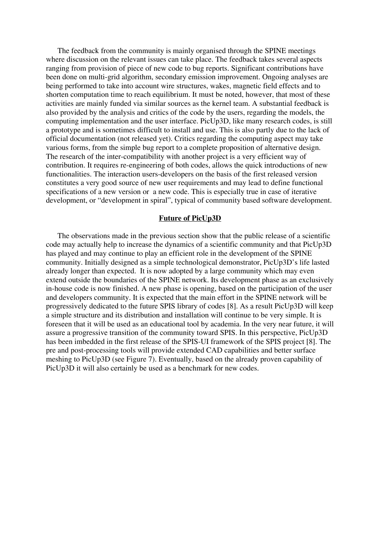The feedback from the community is mainly organised through the SPINE meetings where discussion on the relevant issues can take place. The feedback takes several aspects ranging from provision of piece of new code to bug reports. Significant contributions have been done on multi-grid algorithm, secondary emission improvement. Ongoing analyses are being performed to take into account wire structures, wakes, magnetic field effects and to shorten computation time to reach equilibrium. It must be noted, however, that most of these activities are mainly funded via similar sources as the kernel team. A substantial feedback is also provided by the analysis and critics of the code by the users, regarding the models, the computing implementation and the user interface. PicUp3D, like many research codes, is still a prototype and is sometimes difficult to ins tall and use. This is also partly due to the lack of official documentation (not released yet). Critics regarding the computing aspect may take various forms, from the simple bug report to a complete proposition of alternative design. The research of the inter-compatibility with another project is a very efficient way of contribution. It requires re-engineering of both codes, allows the quick introductions of new functionalities. The interaction users-developers on the basis of the first released version constitutes a very good source of new user requirements and may lead to define functional specifications of a new version or a new code. This is especially true in case of iterative development, or "development in spiral", typical of community based software development.

### **Future of PicUp3D**

The observations made in the previous section show that the public release of a scientifi c code may actually help to increase the dynamics of a scientific community and that PicUp3D has played and may continue to play an efficient role in the development of the SPINE community. Initially designed as a simple technological demonstrator, PicUp3D's life lasted already longer than expected. It is now adopted by a large community which may even extend outside the boundaries of the SPINE network. Its development phase as an exclusively in-house code is now finished. A new phase is opening, based on the participation of the user and developers community. It is expected that the main effort in the SPINE network will be progressively dedicated to the future SPIS library of codes [8]. As a result PicUp3D will ke ep a simple structure and its distribution and installation will continue to be very simple. It is foreseen that it will be used as an educational tool by academia. In the very near future , it will assure a progressive transition of the community toward SPIS. In this perspective, PicUp3D has been imbedded in the first release of the SPIS-UI framework of the SPIS project [8]. T he pre and post-processing tools will provide extended CAD capabilities and better surface meshing to PicUp3D (see Figure 7). Eventually, based on the already proven capability o fPicUp3D it will also certainly be used as a benchmark for new codes.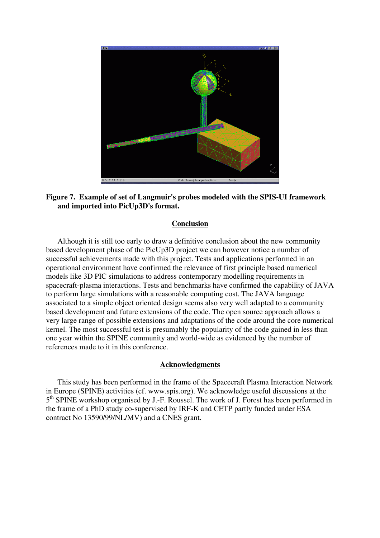



# **Conclusion**

Although it is still too early to draw a definitive conclusion about the new community based development phase of the PicUp3D project we can however notice a number of operational environment have confirmed the relevance of first principle based numerical models like 3D PIC simulations to address contemporary modelling requirements in spacecraft-plasma interactions. Tests and benchmarks have confirmed the capability of JAVA to perform large simulations with a reasonable computing cost. The JAVA language ass ociated to a simple object oriented design seems also very well adapted to a community based development and future extensions of the code. The open source approach allows a very large range of possible extensions and adaptations of the code around the core numerical kernel. The most successful test is presumably the popularity of the code gained in less than one year within the SPINE community and world-wide as evidenced by the number of successful achievements made with this project. Tests and applications performed in an references made to it in this conference.

## **Acknowledgments**

This study has been performed in the frame of the Spacecraft Plasma Interaction Network in Europe (SPINE) activities (cf. www.spis.org). We acknowledge useful discussions at the 5<sup>th</sup> SPINE workshop organised by J.-F. Roussel. The work of J. Forest has been performed in the frame of a PhD study co-supervised b y IRF-K and CETP partly funded under ESA contract No 13590/99/NL/MV) and a CNES grant.